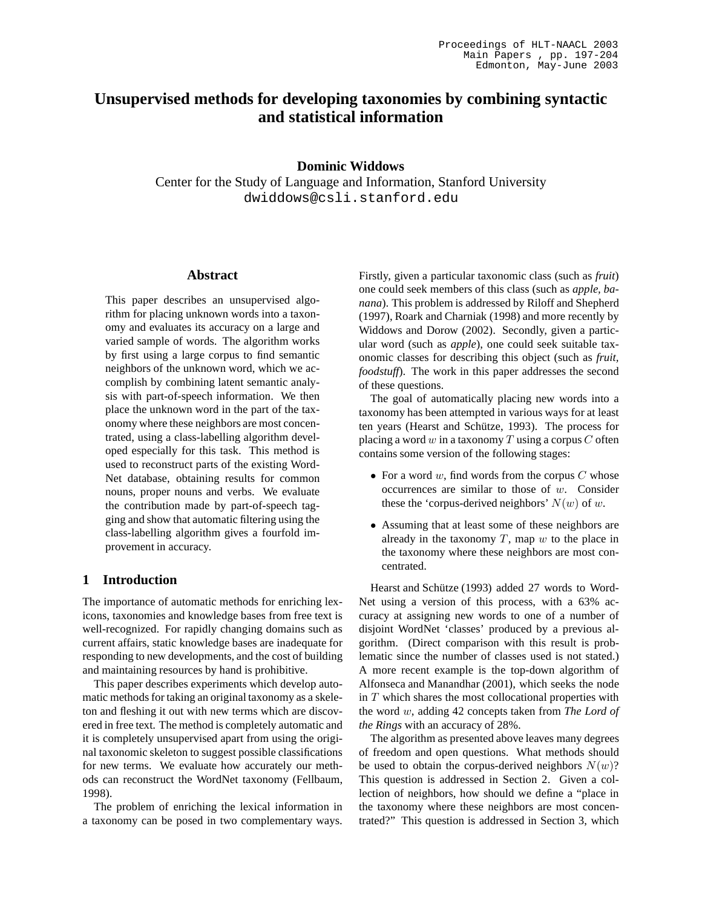# **Unsupervised methods for developing taxonomies by combining syntactic and statistical information**

**Dominic Widdows**

Center for the Study of Language and Information, Stanford University dwiddows@csli.stanford.edu

### **Abstract**

This paper describes an unsupervised algorithm for placing unknown words into a taxonomy and evaluates its accuracy on a large and varied sample of words. The algorithm works by first using a large corpus to find semantic neighbors of the unknown word, which we accomplish by combining latent semantic analysis with part-of-speech information. We then place the unknown word in the part of the taxonomy where these neighbors are most concentrated, using a class-labelling algorithm developed especially for this task. This method is used to reconstruct parts of the existing Word-Net database, obtaining results for common nouns, proper nouns and verbs. We evaluate the contribution made by part-of-speech tagging and show that automatic filtering using the class-labelling algorithm gives a fourfold improvement in accuracy.

## **1 Introduction**

The importance of automatic methods for enriching lexicons, taxonomies and knowledge bases from free text is well-recognized. For rapidly changing domains such as current affairs, static knowledge bases are inadequate for responding to new developments, and the cost of building and maintaining resources by hand is prohibitive.

This paper describes experiments which develop automatic methods for taking an original taxonomy as a skeleton and fleshing it out with new terms which are discovered in free text. The method is completely automatic and it is completely unsupervised apart from using the original taxonomic skeleton to suggest possible classifications for new terms. We evaluate how accurately our methods can reconstruct the WordNet taxonomy (Fellbaum, 1998).

The problem of enriching the lexical information in a taxonomy can be posed in two complementary ways.

Firstly, given a particular taxonomic class (such as *fruit*) one could seek members of this class (such as *apple, banana*). This problem is addressed by Riloff and Shepherd (1997), Roark and Charniak (1998) and more recently by Widdows and Dorow (2002). Secondly, given a particular word (such as *apple*), one could seek suitable taxonomic classes for describing this object (such as *fruit, foodstuff*). The work in this paper addresses the second of these questions.

The goal of automatically placing new words into a taxonomy has been attempted in various ways for at least ten years (Hearst and Schütze, 1993). The process for placing a word w in a taxonomy T using a corpus  $C$  often contains some version of the following stages:

- For a word  $w$ , find words from the corpus  $C$  whose occurrences are similar to those of w. Consider these the 'corpus-derived neighbors'  $N(w)$  of w.
- Assuming that at least some of these neighbors are already in the taxonomy  $T$ , map  $w$  to the place in the taxonomy where these neighbors are most concentrated.

Hearst and Schütze (1993) added 27 words to Word-Net using a version of this process, with a 63% accuracy at assigning new words to one of a number of disjoint WordNet 'classes' produced by a previous algorithm. (Direct comparison with this result is problematic since the number of classes used is not stated.) A more recent example is the top-down algorithm of Alfonseca and Manandhar (2001), which seeks the node in  $T$  which shares the most collocational properties with the word w, adding 42 concepts taken from *The Lord of the Rings* with an accuracy of 28%.

The algorithm as presented above leaves many degrees of freedom and open questions. What methods should be used to obtain the corpus-derived neighbors  $N(w)$ ? This question is addressed in Section 2. Given a collection of neighbors, how should we define a "place in the taxonomy where these neighbors are most concentrated?" This question is addressed in Section 3, which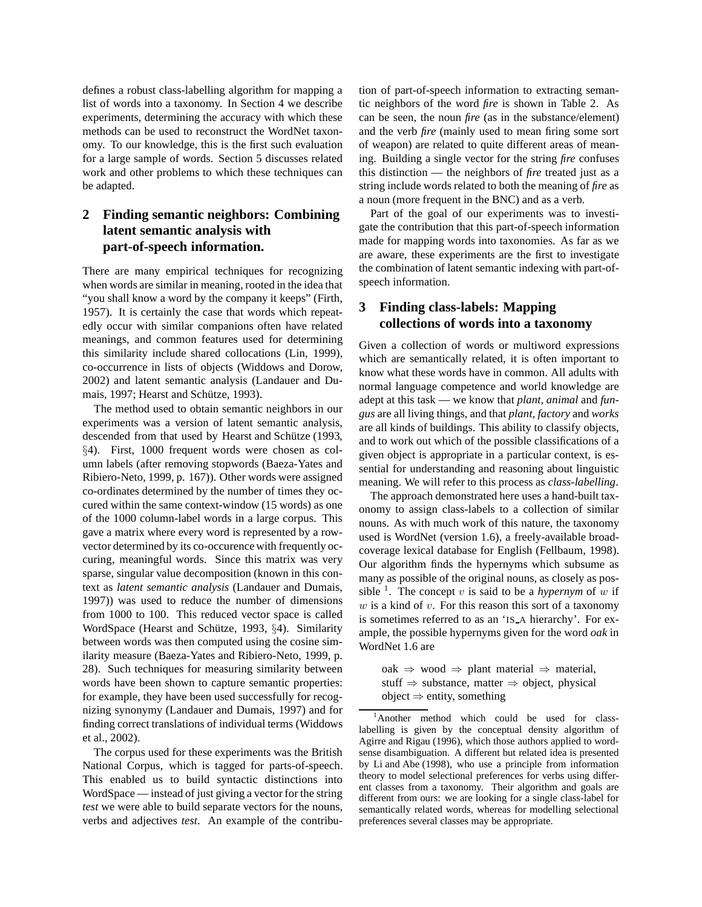defines a robust class-labelling algorithm for mapping a list of words into a taxonomy. In Section 4 we describe experiments, determining the accuracy with which these methods can be used to reconstruct the WordNet taxonomy. To our knowledge, this is the first such evaluation for a large sample of words. Section 5 discusses related work and other problems to which these techniques can be adapted.

## **2 Finding semantic neighbors: Combining latent semantic analysis with part-of-speech information.**

There are many empirical techniques for recognizing when words are similar in meaning, rooted in the idea that "you shall know a word by the company it keeps" (Firth, 1957). It is certainly the case that words which repeatedly occur with similar companions often have related meanings, and common features used for determining this similarity include shared collocations (Lin, 1999), co-occurrence in lists of objects (Widdows and Dorow, 2002) and latent semantic analysis (Landauer and Dumais, 1997; Hearst and Schütze, 1993).

The method used to obtain semantic neighbors in our experiments was a version of latent semantic analysis, descended from that used by Hearst and Schütze (1993, §4). First, 1000 frequent words were chosen as column labels (after removing stopwords (Baeza-Yates and Ribiero-Neto, 1999, p. 167)). Other words were assigned co-ordinates determined by the number of times they occured within the same context-window (15 words) as one of the 1000 column-label words in a large corpus. This gave a matrix where every word is represented by a rowvector determined by its co-occurence with frequently occuring, meaningful words. Since this matrix was very sparse, singular value decomposition (known in this context as *latent semantic analysis* (Landauer and Dumais, 1997)) was used to reduce the number of dimensions from 1000 to 100. This reduced vector space is called WordSpace (Hearst and Schütze, 1993, §4). Similarity between words was then computed using the cosine similarity measure (Baeza-Yates and Ribiero-Neto, 1999, p. 28). Such techniques for measuring similarity between words have been shown to capture semantic properties: for example, they have been used successfully for recognizing synonymy (Landauer and Dumais, 1997) and for finding correct translations of individual terms (Widdows et al., 2002).

The corpus used for these experiments was the British National Corpus, which is tagged for parts-of-speech. This enabled us to build syntactic distinctions into WordSpace — instead of just giving a vector for the string *test* we were able to build separate vectors for the nouns, verbs and adjectives *test*. An example of the contribution of part-of-speech information to extracting semantic neighbors of the word *fire* is shown in Table 2. As can be seen, the noun *fire* (as in the substance/element) and the verb *fire* (mainly used to mean firing some sort of weapon) are related to quite different areas of meaning. Building a single vector for the string *fire* confuses this distinction — the neighbors of *fire* treated just as a string include words related to both the meaning of *fire* as a noun (more frequent in the BNC) and as a verb.

Part of the goal of our experiments was to investigate the contribution that this part-of-speech information made for mapping words into taxonomies. As far as we are aware, these experiments are the first to investigate the combination of latent semantic indexing with part-ofspeech information.

## **3 Finding class-labels: Mapping collections of words into a taxonomy**

Given a collection of words or multiword expressions which are semantically related, it is often important to know what these words have in common. All adults with normal language competence and world knowledge are adept at this task — we know that *plant, animal* and *fungus* are all living things, and that *plant, factory* and *works* are all kinds of buildings. This ability to classify objects, and to work out which of the possible classifications of a given object is appropriate in a particular context, is essential for understanding and reasoning about linguistic meaning. We will refer to this process as *class-labelling*.

The approach demonstrated here uses a hand-built taxonomy to assign class-labels to a collection of similar nouns. As with much work of this nature, the taxonomy used is WordNet (version 1.6), a freely-available broadcoverage lexical database for English (Fellbaum, 1998). Our algorithm finds the hypernyms which subsume as many as possible of the original nouns, as closely as possible <sup>1</sup>. The concept v is said to be a *hypernym* of w if  $w$  is a kind of  $v$ . For this reason this sort of a taxonomy is sometimes referred to as an 'IS A hierarchy'. For example, the possible hypernyms given for the word *oak* in WordNet 1.6 are

oak ⇒ wood ⇒ plant material ⇒ material, stuff  $\Rightarrow$  substance, matter  $\Rightarrow$  object, physical  $object \Rightarrow entity, something$ 

<sup>1</sup>Another method which could be used for classlabelling is given by the conceptual density algorithm of Agirre and Rigau (1996), which those authors applied to wordsense disambiguation. A different but related idea is presented by Li and Abe (1998), who use a principle from information theory to model selectional preferences for verbs using different classes from a taxonomy. Their algorithm and goals are different from ours: we are looking for a single class-label for semantically related words, whereas for modelling selectional preferences several classes may be appropriate.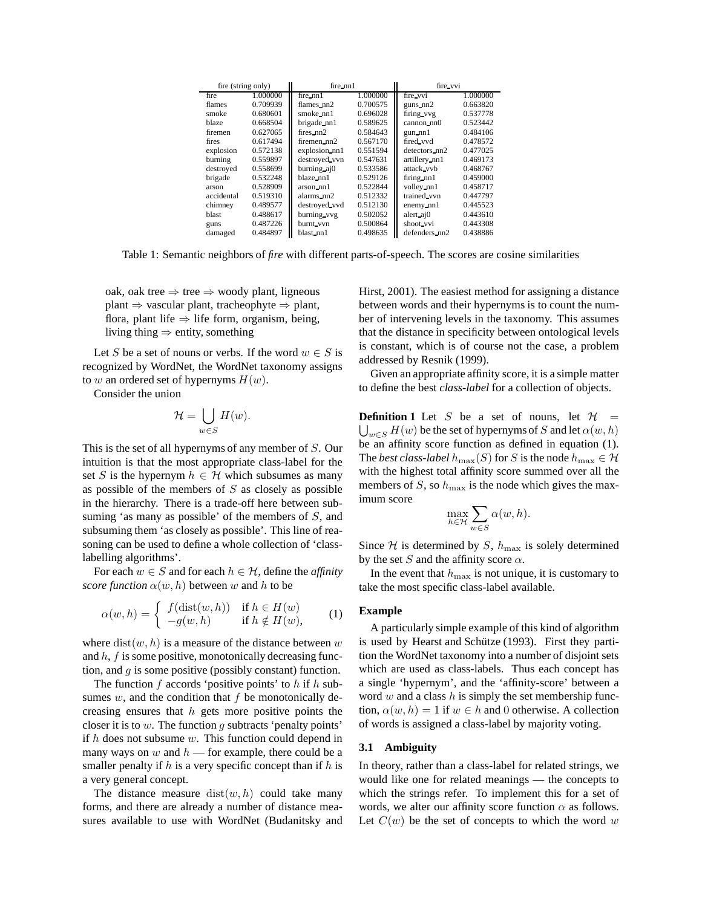| fire (string only) |          | $fire\_nn1$   |          | fire vvi      |          |  |
|--------------------|----------|---------------|----------|---------------|----------|--|
| fire               | 1.000000 | $fire\_nn1$   | 1.000000 | fire vvi      | 1.000000 |  |
| flames             | 0.709939 | $flames\_nn2$ | 0.700575 | $e$ uns $nn2$ | 0.663820 |  |
| smoke              | 0.680601 | $smoke\_nn1$  | 0.696028 | firing vvg    | 0.537778 |  |
| blaze              | 0.668504 | brigade nn1   | 0.589625 | $cannon_nn()$ | 0.523442 |  |
| firemen            | 0.627065 | $fires_nnn2$  | 0.584643 | gun nn1       | 0.484106 |  |
| fires              | 0.617494 | firemen_nn2   | 0.567170 | fired_vvd     | 0.478572 |  |
| explosion          | 0.572138 | explosion nn1 | 0.551594 | detectors_nn2 | 0.477025 |  |
| burning            | 0.559897 | destroyed vvn | 0.547631 | artillery_nn1 | 0.469173 |  |
| destroyed          | 0.558699 | burning aj0   | 0.533586 | attack vyb    | 0.468767 |  |
| brigade            | 0.532248 | blaze_nn1     | 0.529126 | firing nn1    | 0.459000 |  |
| arson              | 0.528909 | $arson_nn1$   | 0.522844 | volley_nn1    | 0.458717 |  |
| accidental         | 0.519310 | alarms nn2    | 0.512332 | trained vvn   | 0.447797 |  |
| chimney            | 0.489577 | destroyed vvd | 0.512130 | enemy nn1     | 0.445523 |  |
| blast              | 0.488617 | burning vvg   | 0.502052 | alert aj0     | 0.443610 |  |
| guns               | 0.487226 | burnt_vvn     | 0.500864 | shoot_vvi     | 0.443308 |  |
| damaged            | 0.484897 | blast nn1     | 0.498635 | defenders nn2 | 0.438886 |  |

Table 1: Semantic neighbors of *fire* with different parts-of-speech. The scores are cosine similarities

oak, oak tree  $\Rightarrow$  tree  $\Rightarrow$  woody plant, ligneous plant  $\Rightarrow$  vascular plant, tracheophyte  $\Rightarrow$  plant, flora, plant life  $\Rightarrow$  life form, organism, being, living thing  $\Rightarrow$  entity, something

Let S be a set of nouns or verbs. If the word  $w \in S$  is recognized by WordNet, the WordNet taxonomy assigns to w an ordered set of hypernyms  $H(w)$ .

Consider the union

$$
\mathcal{H}=\bigcup_{w\in S}H(w).
$$

This is the set of all hypernyms of any member of S. Our intuition is that the most appropriate class-label for the set S is the hypernym  $h \in \mathcal{H}$  which subsumes as many as possible of the members of  $S$  as closely as possible in the hierarchy. There is a trade-off here between subsuming 'as many as possible' of the members of  $S$ , and subsuming them 'as closely as possible'. This line of reasoning can be used to define a whole collection of 'classlabelling algorithms'.

For each  $w \in S$  and for each  $h \in H$ , define the *affinity score function*  $\alpha(w, h)$  between w and h to be

$$
\alpha(w, h) = \begin{cases} f(\text{dist}(w, h)) & \text{if } h \in H(w) \\ -g(w, h) & \text{if } h \notin H(w), \end{cases} \tag{1}
$$

where  $dist(w, h)$  is a measure of the distance between w and  $h$ ,  $f$  is some positive, monotonically decreasing function, and  $q$  is some positive (possibly constant) function.

The function  $f$  accords 'positive points' to  $h$  if  $h$  subsumes  $w$ , and the condition that  $f$  be monotonically decreasing ensures that  $h$  gets more positive points the closer it is to  $w$ . The function  $q$  subtracts 'penalty points' if  $h$  does not subsume  $w$ . This function could depend in many ways on  $w$  and  $h$  — for example, there could be a smaller penalty if  $h$  is a very specific concept than if  $h$  is a very general concept.

The distance measure  $dist(w, h)$  could take many forms, and there are already a number of distance measures available to use with WordNet (Budanitsky and Hirst, 2001). The easiest method for assigning a distance between words and their hypernyms is to count the number of intervening levels in the taxonomy. This assumes that the distance in specificity between ontological levels is constant, which is of course not the case, a problem addressed by Resnik (1999).

Given an appropriate affinity score, it is a simple matter to define the best *class-label* for a collection of objects.

**Definition 1** Let S be a set of nouns, let  $H =$  $\bigcup_{w\in S}H(w)$  be the set of hypernyms of  $S$  and let  $\alpha(w,h)$ be an affinity score function as defined in equation (1). The *best class-label*  $h_{\max}(S)$  for S is the node  $h_{\max} \in \mathcal{H}$ with the highest total affinity score summed over all the members of S, so  $h_{\text{max}}$  is the node which gives the maximum score

$$
\max_{h \in \mathcal{H}} \sum_{w \in S} \alpha(w, h).
$$

Since  $H$  is determined by S,  $h_{\text{max}}$  is solely determined by the set S and the affinity score  $\alpha$ .

In the event that  $h_{\text{max}}$  is not unique, it is customary to take the most specific class-label available.

#### **Example**

A particularly simple example of this kind of algorithm is used by Hearst and Schütze (1993). First they partition the WordNet taxonomy into a number of disjoint sets which are used as class-labels. Thus each concept has a single 'hypernym', and the 'affinity-score' between a word  $w$  and a class  $h$  is simply the set membership function,  $\alpha(w, h) = 1$  if  $w \in h$  and 0 otherwise. A collection of words is assigned a class-label by majority voting.

#### **3.1 Ambiguity**

In theory, rather than a class-label for related strings, we would like one for related meanings — the concepts to which the strings refer. To implement this for a set of words, we alter our affinity score function  $\alpha$  as follows. Let  $C(w)$  be the set of concepts to which the word w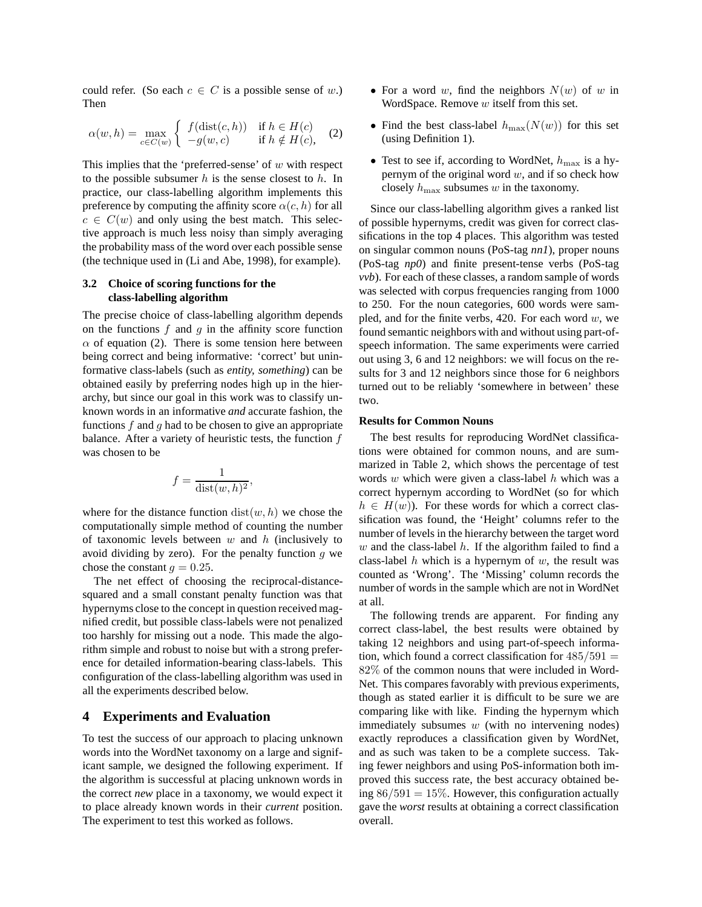could refer. (So each  $c \in C$  is a possible sense of w.) Then

$$
\alpha(w, h) = \max_{c \in C(w)} \begin{cases} f(\text{dist}(c, h)) & \text{if } h \in H(c) \\ -g(w, c) & \text{if } h \notin H(c), \end{cases} \tag{2}
$$

This implies that the 'preferred-sense' of  $w$  with respect to the possible subsumer  $h$  is the sense closest to  $h$ . In practice, our class-labelling algorithm implements this preference by computing the affinity score  $\alpha(c, h)$  for all  $c \in C(w)$  and only using the best match. This selective approach is much less noisy than simply averaging the probability mass of the word over each possible sense (the technique used in (Li and Abe, 1998), for example).

### **3.2 Choice of scoring functions for the class-labelling algorithm**

The precise choice of class-labelling algorithm depends on the functions  $f$  and  $g$  in the affinity score function  $\alpha$  of equation (2). There is some tension here between being correct and being informative: 'correct' but uninformative class-labels (such as *entity, something*) can be obtained easily by preferring nodes high up in the hierarchy, but since our goal in this work was to classify unknown words in an informative *and* accurate fashion, the functions f and q had to be chosen to give an appropriate balance. After a variety of heuristic tests, the function  $f$ was chosen to be

$$
f = \frac{1}{\text{dist}(w, h)^2},
$$

where for the distance function  $dist(w, h)$  we chose the computationally simple method of counting the number of taxonomic levels between  $w$  and  $h$  (inclusively to avoid dividing by zero). For the penalty function  $g$  we chose the constant  $g = 0.25$ .

The net effect of choosing the reciprocal-distancesquared and a small constant penalty function was that hypernyms close to the concept in question received magnified credit, but possible class-labels were not penalized too harshly for missing out a node. This made the algorithm simple and robust to noise but with a strong preference for detailed information-bearing class-labels. This configuration of the class-labelling algorithm was used in all the experiments described below.

### **4 Experiments and Evaluation**

To test the success of our approach to placing unknown words into the WordNet taxonomy on a large and significant sample, we designed the following experiment. If the algorithm is successful at placing unknown words in the correct *new* place in a taxonomy, we would expect it to place already known words in their *current* position. The experiment to test this worked as follows.

- For a word w, find the neighbors  $N(w)$  of w in WordSpace. Remove  $w$  itself from this set.
- Find the best class-label  $h_{\text{max}}(N(w))$  for this set (using Definition 1).
- Test to see if, according to WordNet,  $h_{\text{max}}$  is a hypernym of the original word  $w$ , and if so check how closely  $h_{\text{max}}$  subsumes w in the taxonomy.

Since our class-labelling algorithm gives a ranked list of possible hypernyms, credit was given for correct classifications in the top 4 places. This algorithm was tested on singular common nouns (PoS-tag *nn1*), proper nouns (PoS-tag *np0*) and finite present-tense verbs (PoS-tag *vvb*). For each of these classes, a random sample of words was selected with corpus frequencies ranging from 1000 to 250. For the noun categories, 600 words were sampled, and for the finite verbs, 420. For each word  $w$ , we found semantic neighbors with and without using part-ofspeech information. The same experiments were carried out using 3, 6 and 12 neighbors: we will focus on the results for 3 and 12 neighbors since those for 6 neighbors turned out to be reliably 'somewhere in between' these two.

### **Results for Common Nouns**

The best results for reproducing WordNet classifications were obtained for common nouns, and are summarized in Table 2, which shows the percentage of test words  $w$  which were given a class-label  $h$  which was a correct hypernym according to WordNet (so for which  $h \in H(w)$ ). For these words for which a correct classification was found, the 'Height' columns refer to the number of levels in the hierarchy between the target word  $w$  and the class-label  $h$ . If the algorithm failed to find a class-label  $h$  which is a hypernym of  $w$ , the result was counted as 'Wrong'. The 'Missing' column records the number of words in the sample which are not in WordNet at all.

The following trends are apparent. For finding any correct class-label, the best results were obtained by taking 12 neighbors and using part-of-speech information, which found a correct classification for  $485/591 =$ 82% of the common nouns that were included in Word-Net. This compares favorably with previous experiments, though as stated earlier it is difficult to be sure we are comparing like with like. Finding the hypernym which immediately subsumes  $w$  (with no intervening nodes) exactly reproduces a classification given by WordNet, and as such was taken to be a complete success. Taking fewer neighbors and using PoS-information both improved this success rate, the best accuracy obtained being  $86/591 = 15\%$ . However, this configuration actually gave the *worst* results at obtaining a correct classification overall.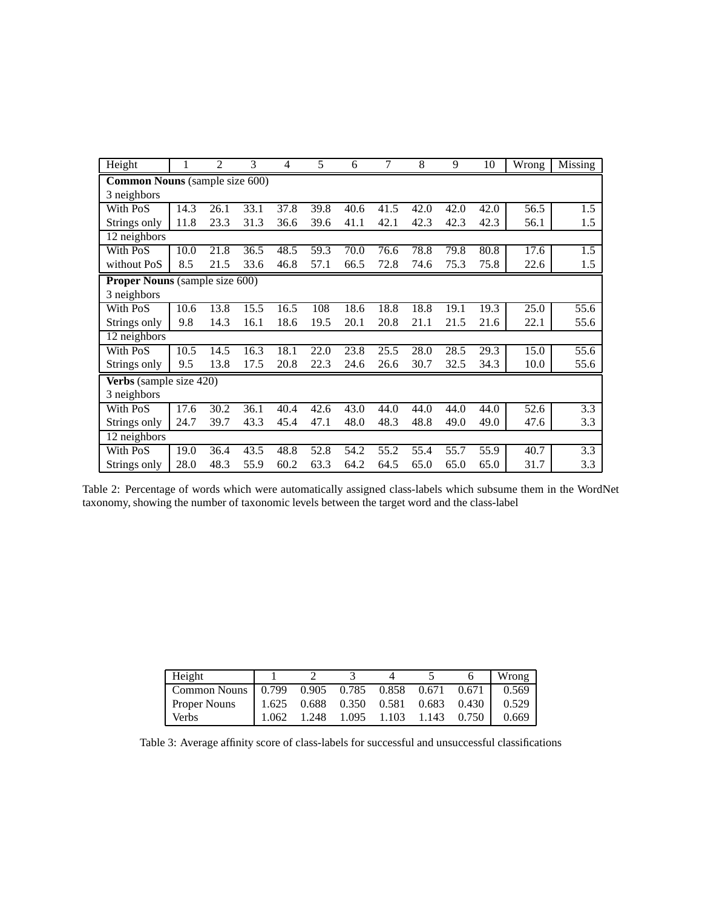| Height                                |                         | 2    | 3    | 4    | 5    | 6    | 7    | 8    | 9    | 10   | Wrong | Missing |
|---------------------------------------|-------------------------|------|------|------|------|------|------|------|------|------|-------|---------|
| <b>Common Nouns</b> (sample size 600) |                         |      |      |      |      |      |      |      |      |      |       |         |
| 3 neighbors                           |                         |      |      |      |      |      |      |      |      |      |       |         |
| With PoS                              | 14.3                    | 26.1 | 33.1 | 37.8 | 39.8 | 40.6 | 41.5 | 42.0 | 42.0 | 42.0 | 56.5  | 1.5     |
| Strings only                          | 11.8                    | 23.3 | 31.3 | 36.6 | 39.6 | 41.1 | 42.1 | 42.3 | 42.3 | 42.3 | 56.1  | 1.5     |
| 12 neighbors                          |                         |      |      |      |      |      |      |      |      |      |       |         |
| With PoS                              | 10.0                    | 21.8 | 36.5 | 48.5 | 59.3 | 70.0 | 76.6 | 78.8 | 79.8 | 80.8 | 17.6  | 1.5     |
| without PoS                           | 8.5                     | 21.5 | 33.6 | 46.8 | 57.1 | 66.5 | 72.8 | 74.6 | 75.3 | 75.8 | 22.6  | 1.5     |
| <b>Proper Nouns</b> (sample size 600) |                         |      |      |      |      |      |      |      |      |      |       |         |
| 3 neighbors                           |                         |      |      |      |      |      |      |      |      |      |       |         |
| With PoS                              | 10.6                    | 13.8 | 15.5 | 16.5 | 108  | 18.6 | 18.8 | 18.8 | 19.1 | 19.3 | 25.0  | 55.6    |
| Strings only                          | 9.8                     | 14.3 | 16.1 | 18.6 | 19.5 | 20.1 | 20.8 | 21.1 | 21.5 | 21.6 | 22.1  | 55.6    |
| 12 neighbors                          |                         |      |      |      |      |      |      |      |      |      |       |         |
| With PoS                              | 10.5                    | 14.5 | 16.3 | 18.1 | 22.0 | 23.8 | 25.5 | 28.0 | 28.5 | 29.3 | 15.0  | 55.6    |
| Strings only                          | 9.5                     | 13.8 | 17.5 | 20.8 | 22.3 | 24.6 | 26.6 | 30.7 | 32.5 | 34.3 | 10.0  | 55.6    |
|                                       | Verbs (sample size 420) |      |      |      |      |      |      |      |      |      |       |         |
| 3 neighbors                           |                         |      |      |      |      |      |      |      |      |      |       |         |
| With PoS                              | 17.6                    | 30.2 | 36.1 | 40.4 | 42.6 | 43.0 | 44.0 | 44.0 | 44.0 | 44.0 | 52.6  | 3.3     |
| Strings only                          | 24.7                    | 39.7 | 43.3 | 45.4 | 47.1 | 48.0 | 48.3 | 48.8 | 49.0 | 49.0 | 47.6  | 3.3     |
| 12 neighbors                          |                         |      |      |      |      |      |      |      |      |      |       |         |
| With PoS                              | 19.0                    | 36.4 | 43.5 | 48.8 | 52.8 | 54.2 | 55.2 | 55.4 | 55.7 | 55.9 | 40.7  | 3.3     |
| Strings only                          | 28.0                    | 48.3 | 55.9 | 60.2 | 63.3 | 64.2 | 64.5 | 65.0 | 65.0 | 65.0 | 31.7  | 3.3     |

Table 2: Percentage of words which were automatically assigned class-labels which subsume them in the WordNet taxonomy, showing the number of taxonomic levels between the target word and the class-label

| Height                                         |       |                                     |       |       |                   |       | Wrong |
|------------------------------------------------|-------|-------------------------------------|-------|-------|-------------------|-------|-------|
| $\vert$ Common Nouns $\vert$ 0.799 0.905 0.785 |       |                                     |       |       | 0.858 0.671 0.671 |       | 0.569 |
| <b>Proper Nouns</b>                            |       | 1.625 0.688 0.350 0.581 0.683 0.430 |       |       |                   |       | 0.529 |
| <b>Verbs</b>                                   | 1.062 | 1.248                               | 1.095 | 1.103 | 1.143             | 0.750 | 0.669 |

Table 3: Average affinity score of class-labels for successful and unsuccessful classifications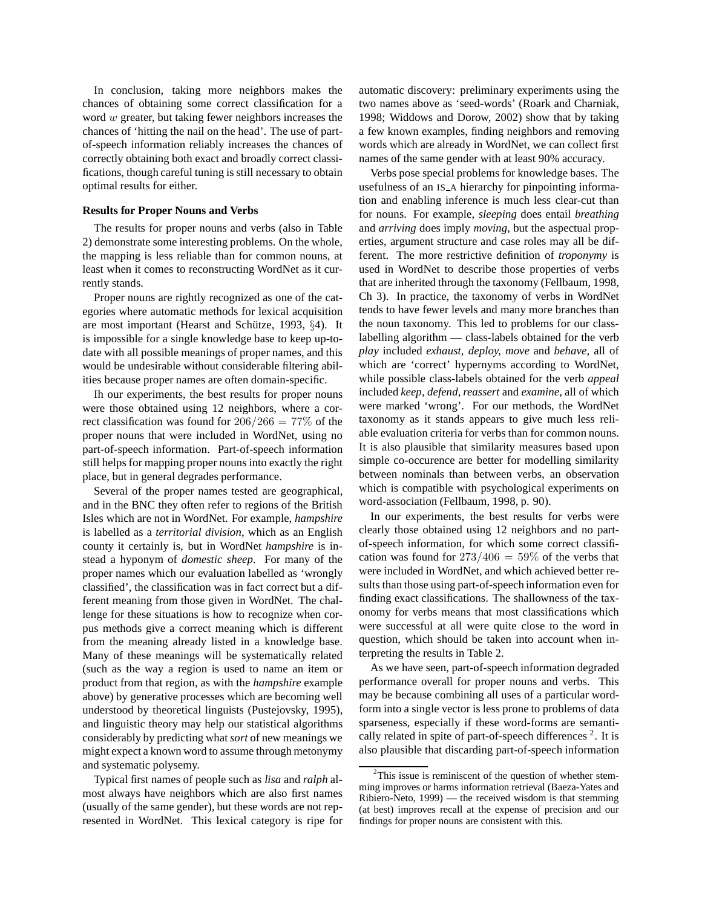In conclusion, taking more neighbors makes the chances of obtaining some correct classification for a word w greater, but taking fewer neighbors increases the chances of 'hitting the nail on the head'. The use of partof-speech information reliably increases the chances of correctly obtaining both exact and broadly correct classifications, though careful tuning is still necessary to obtain optimal results for either.

#### **Results for Proper Nouns and Verbs**

The results for proper nouns and verbs (also in Table 2) demonstrate some interesting problems. On the whole, the mapping is less reliable than for common nouns, at least when it comes to reconstructing WordNet as it currently stands.

Proper nouns are rightly recognized as one of the categories where automatic methods for lexical acquisition are most important (Hearst and Schütze, 1993,  $\S$ 4). It is impossible for a single knowledge base to keep up-todate with all possible meanings of proper names, and this would be undesirable without considerable filtering abilities because proper names are often domain-specific.

Ih our experiments, the best results for proper nouns were those obtained using 12 neighbors, where a correct classification was found for  $206/266 = 77\%$  of the proper nouns that were included in WordNet, using no part-of-speech information. Part-of-speech information still helps for mapping proper nouns into exactly the right place, but in general degrades performance.

Several of the proper names tested are geographical, and in the BNC they often refer to regions of the British Isles which are not in WordNet. For example, *hampshire* is labelled as a *territorial division*, which as an English county it certainly is, but in WordNet *hampshire* is instead a hyponym of *domestic sheep*. For many of the proper names which our evaluation labelled as 'wrongly classified', the classification was in fact correct but a different meaning from those given in WordNet. The challenge for these situations is how to recognize when corpus methods give a correct meaning which is different from the meaning already listed in a knowledge base. Many of these meanings will be systematically related (such as the way a region is used to name an item or product from that region, as with the *hampshire* example above) by generative processes which are becoming well understood by theoretical linguists (Pustejovsky, 1995), and linguistic theory may help our statistical algorithms considerably by predicting what*sort* of new meanings we might expect a known word to assume through metonymy and systematic polysemy.

Typical first names of people such as *lisa* and *ralph* almost always have neighbors which are also first names (usually of the same gender), but these words are not represented in WordNet. This lexical category is ripe for automatic discovery: preliminary experiments using the two names above as 'seed-words' (Roark and Charniak, 1998; Widdows and Dorow, 2002) show that by taking a few known examples, finding neighbors and removing words which are already in WordNet, we can collect first names of the same gender with at least 90% accuracy.

Verbs pose special problems for knowledge bases. The usefulness of an IS\_A hierarchy for pinpointing information and enabling inference is much less clear-cut than for nouns. For example, *sleeping* does entail *breathing* and *arriving* does imply *moving*, but the aspectual properties, argument structure and case roles may all be different. The more restrictive definition of *troponymy* is used in WordNet to describe those properties of verbs that are inherited through the taxonomy (Fellbaum, 1998, Ch 3). In practice, the taxonomy of verbs in WordNet tends to have fewer levels and many more branches than the noun taxonomy. This led to problems for our classlabelling algorithm — class-labels obtained for the verb *play* included *exhaust, deploy, move* and *behave*, all of which are 'correct' hypernyms according to WordNet, while possible class-labels obtained for the verb *appeal* included *keep, defend, reassert* and *examine*, all of which were marked 'wrong'. For our methods, the WordNet taxonomy as it stands appears to give much less reliable evaluation criteria for verbs than for common nouns. It is also plausible that similarity measures based upon simple co-occurence are better for modelling similarity between nominals than between verbs, an observation which is compatible with psychological experiments on word-association (Fellbaum, 1998, p. 90).

In our experiments, the best results for verbs were clearly those obtained using 12 neighbors and no partof-speech information, for which some correct classification was found for  $273/406 = 59\%$  of the verbs that were included in WordNet, and which achieved better results than those using part-of-speech information even for finding exact classifications. The shallowness of the taxonomy for verbs means that most classifications which were successful at all were quite close to the word in question, which should be taken into account when interpreting the results in Table 2.

As we have seen, part-of-speech information degraded performance overall for proper nouns and verbs. This may be because combining all uses of a particular wordform into a single vector is less prone to problems of data sparseness, especially if these word-forms are semantically related in spite of part-of-speech differences<sup>2</sup>. It is also plausible that discarding part-of-speech information

 $2$ This issue is reminiscent of the question of whether stemming improves or harms information retrieval (Baeza-Yates and Ribiero-Neto, 1999) — the received wisdom is that stemming (at best) improves recall at the expense of precision and our findings for proper nouns are consistent with this.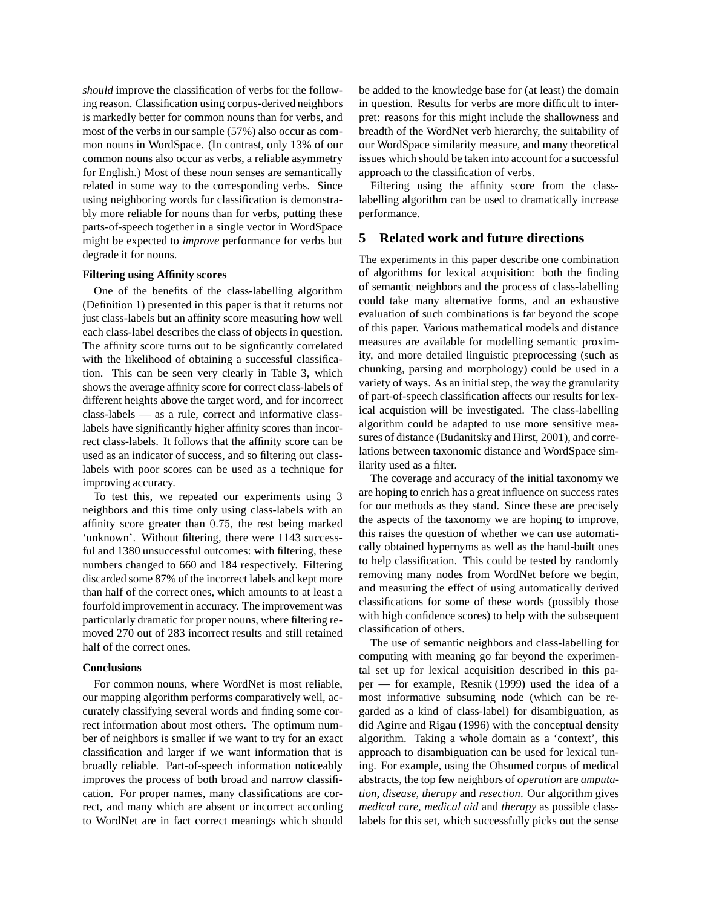*should* improve the classification of verbs for the following reason. Classification using corpus-derived neighbors is markedly better for common nouns than for verbs, and most of the verbs in our sample (57%) also occur as common nouns in WordSpace. (In contrast, only 13% of our common nouns also occur as verbs, a reliable asymmetry for English.) Most of these noun senses are semantically related in some way to the corresponding verbs. Since using neighboring words for classification is demonstrably more reliable for nouns than for verbs, putting these parts-of-speech together in a single vector in WordSpace might be expected to *improve* performance for verbs but degrade it for nouns.

#### **Filtering using Affinity scores**

One of the benefits of the class-labelling algorithm (Definition 1) presented in this paper is that it returns not just class-labels but an affinity score measuring how well each class-label describes the class of objects in question. The affinity score turns out to be signficantly correlated with the likelihood of obtaining a successful classification. This can be seen very clearly in Table 3, which shows the average affinity score for correct class-labels of different heights above the target word, and for incorrect class-labels — as a rule, correct and informative classlabels have significantly higher affinity scores than incorrect class-labels. It follows that the affinity score can be used as an indicator of success, and so filtering out classlabels with poor scores can be used as a technique for improving accuracy.

To test this, we repeated our experiments using 3 neighbors and this time only using class-labels with an affinity score greater than 0.75, the rest being marked 'unknown'. Without filtering, there were 1143 successful and 1380 unsuccessful outcomes: with filtering, these numbers changed to 660 and 184 respectively. Filtering discarded some 87% of the incorrect labels and kept more than half of the correct ones, which amounts to at least a fourfold improvement in accuracy. The improvement was particularly dramatic for proper nouns, where filtering removed 270 out of 283 incorrect results and still retained half of the correct ones.

#### **Conclusions**

For common nouns, where WordNet is most reliable, our mapping algorithm performs comparatively well, accurately classifying several words and finding some correct information about most others. The optimum number of neighbors is smaller if we want to try for an exact classification and larger if we want information that is broadly reliable. Part-of-speech information noticeably improves the process of both broad and narrow classification. For proper names, many classifications are correct, and many which are absent or incorrect according to WordNet are in fact correct meanings which should be added to the knowledge base for (at least) the domain in question. Results for verbs are more difficult to interpret: reasons for this might include the shallowness and breadth of the WordNet verb hierarchy, the suitability of our WordSpace similarity measure, and many theoretical issues which should be taken into account for a successful approach to the classification of verbs.

Filtering using the affinity score from the classlabelling algorithm can be used to dramatically increase performance.

## **5 Related work and future directions**

The experiments in this paper describe one combination of algorithms for lexical acquisition: both the finding of semantic neighbors and the process of class-labelling could take many alternative forms, and an exhaustive evaluation of such combinations is far beyond the scope of this paper. Various mathematical models and distance measures are available for modelling semantic proximity, and more detailed linguistic preprocessing (such as chunking, parsing and morphology) could be used in a variety of ways. As an initial step, the way the granularity of part-of-speech classification affects our results for lexical acquistion will be investigated. The class-labelling algorithm could be adapted to use more sensitive measures of distance (Budanitsky and Hirst, 2001), and correlations between taxonomic distance and WordSpace similarity used as a filter.

The coverage and accuracy of the initial taxonomy we are hoping to enrich has a great influence on success rates for our methods as they stand. Since these are precisely the aspects of the taxonomy we are hoping to improve, this raises the question of whether we can use automatically obtained hypernyms as well as the hand-built ones to help classification. This could be tested by randomly removing many nodes from WordNet before we begin, and measuring the effect of using automatically derived classifications for some of these words (possibly those with high confidence scores) to help with the subsequent classification of others.

The use of semantic neighbors and class-labelling for computing with meaning go far beyond the experimental set up for lexical acquisition described in this paper — for example, Resnik (1999) used the idea of a most informative subsuming node (which can be regarded as a kind of class-label) for disambiguation, as did Agirre and Rigau (1996) with the conceptual density algorithm. Taking a whole domain as a 'context', this approach to disambiguation can be used for lexical tuning. For example, using the Ohsumed corpus of medical abstracts, the top few neighbors of *operation* are *amputation, disease, therapy* and *resection*. Our algorithm gives *medical care, medical aid* and *therapy* as possible classlabels for this set, which successfully picks out the sense